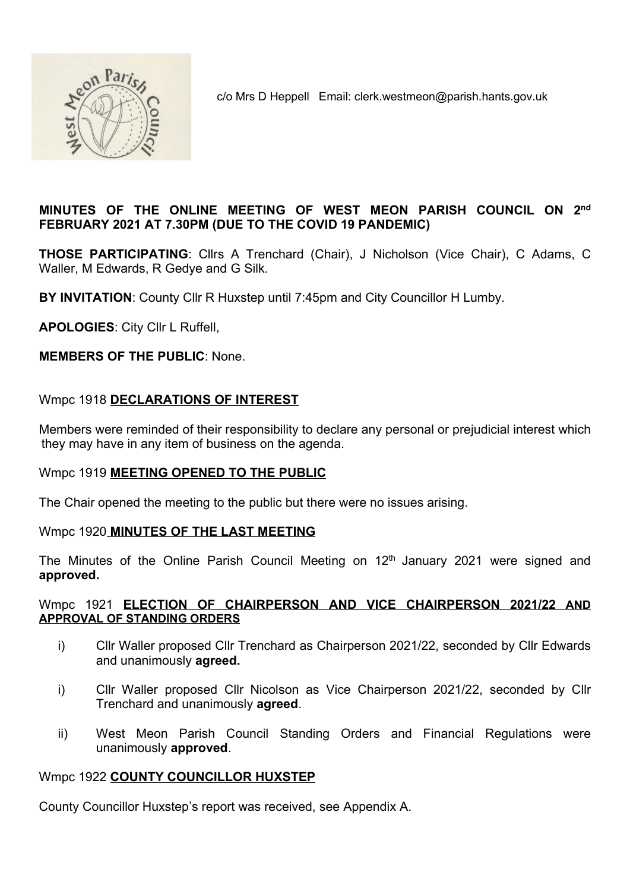

c/o Mrs D Heppell Email: clerk.westmeon@parish.hants.gov.uk

### MINUTES OF THE ONLINE MEETING OF WEST MEON PARISH COUNCIL ON 2nd FEBRUARY 2021 AT 7.30PM (DUE TO THE COVID 19 PANDEMIC)

THOSE PARTICIPATING: Cllrs A Trenchard (Chair), J Nicholson (Vice Chair), C Adams, C Waller, M Edwards, R Gedye and G Silk.

BY INVITATION: County Cllr R Huxstep until 7:45pm and City Councillor H Lumby.

APOLOGIES: City Cllr L Ruffell,

MEMBERS OF THE PUBLIC: None.

### Wmpc 1918 DECLARATIONS OF INTEREST

Members were reminded of their responsibility to declare any personal or prejudicial interest which they may have in any item of business on the agenda.

#### Wmpc 1919 MEETING OPENED TO THE PUBLIC

The Chair opened the meeting to the public but there were no issues arising.

#### Wmpc 1920 MINUTES OF THE LAST MEETING

The Minutes of the Online Parish Council Meeting on  $12<sup>th</sup>$  January 2021 were signed and approved.

#### Wmpc 1921 ELECTION OF CHAIRPERSON AND VICE CHAIRPERSON 2021/22 AND APPROVAL OF STANDING ORDERS

- i) Cllr Waller proposed Cllr Trenchard as Chairperson 2021/22, seconded by Cllr Edwards and unanimously **agreed.**
- i) Cllr Waller proposed Cllr Nicolson as Vice Chairperson 2021/22, seconded by Cllr Trenchard and unanimously agreed.
- ii) West Meon Parish Council Standing Orders and Financial Regulations were unanimously approved.

#### Wmpc 1922 COUNTY COUNCILLOR HUXSTEP

County Councillor Huxstep's report was received, see Appendix A.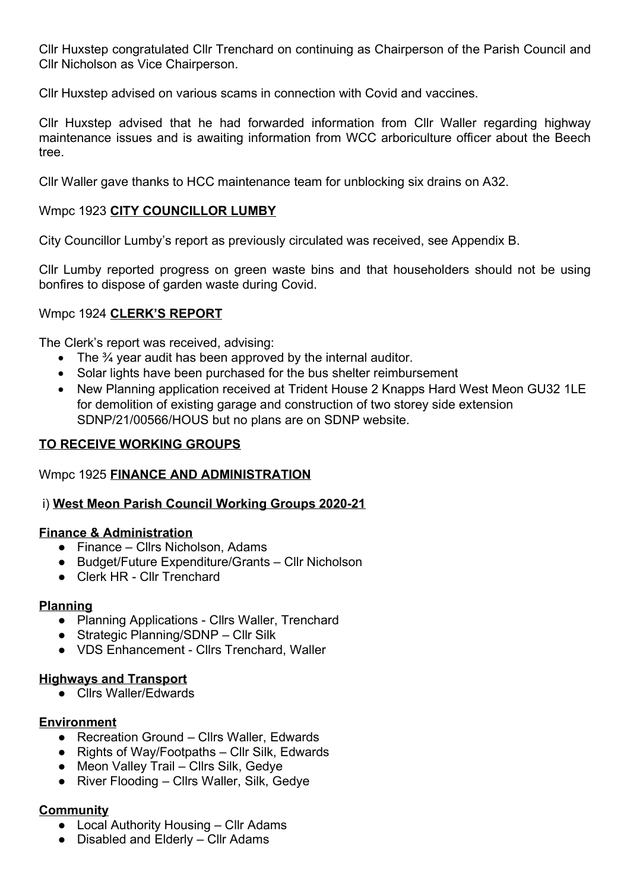Cllr Huxstep congratulated Cllr Trenchard on continuing as Chairperson of the Parish Council and Cllr Nicholson as Vice Chairperson.

Cllr Huxstep advised on various scams in connection with Covid and vaccines.

Cllr Huxstep advised that he had forwarded information from Cllr Waller regarding highway maintenance issues and is awaiting information from WCC arboriculture officer about the Beech tree.

Cllr Waller gave thanks to HCC maintenance team for unblocking six drains on A32.

### Wmpc 1923 CITY COUNCILLOR LUMBY

City Councillor Lumby's report as previously circulated was received, see Appendix B.

Cllr Lumby reported progress on green waste bins and that householders should not be using bonfires to dispose of garden waste during Covid.

### Wmpc 1924 CLERK'S REPORT

The Clerk's report was received, advising:

- $\bullet$  The  $\frac{3}{4}$  year audit has been approved by the internal auditor.
- Solar lights have been purchased for the bus shelter reimbursement
- New Planning application received at Trident House 2 Knapps Hard West Meon GU32 1LE for demolition of existing garage and construction of two storey side extension SDNP/21/00566/HOUS but no plans are on SDNP website.

### TO RECEIVE WORKING GROUPS

### Wmpc 1925 FINANCE AND ADMINISTRATION

#### i) West Meon Parish Council Working Groups 2020-21

#### Finance & Administration

- Finance Cllrs Nicholson, Adams
- Budget/Future Expenditure/Grants Cllr Nicholson
- Clerk HR Cllr Trenchard

#### Planning

- Planning Applications Cllrs Waller, Trenchard
- Strategic Planning/SDNP Cllr Silk
- VDS Enhancement Cllrs Trenchard, Waller

#### Highways and Transport

● Cllrs Waller/Edwards

### Environment

- Recreation Ground Cllrs Waller, Edwards
- Rights of Way/Footpaths Cllr Silk, Edwards
- Meon Valley Trail Cllrs Silk, Gedye
- River Flooding Cllrs Waller, Silk, Gedye

### **Community**

- Local Authority Housing Cllr Adams
- Disabled and Elderly Cllr Adams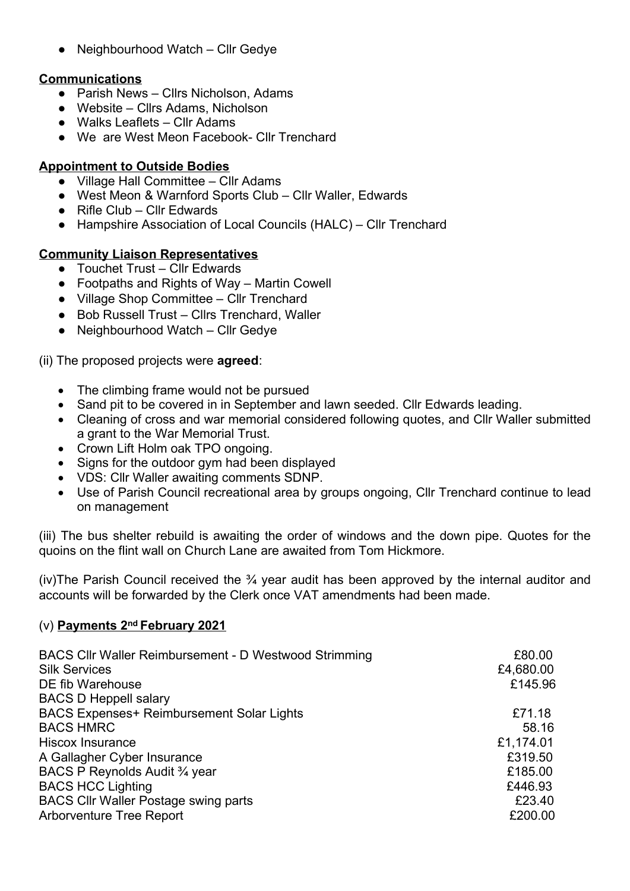● Neighbourhood Watch – Cllr Gedye

### Communications

- Parish News Cllrs Nicholson, Adams
- Website Cllrs Adams, Nicholson
- Walks Leaflets Cllr Adams
- We are West Meon Facebook- Cllr Trenchard

### Appointment to Outside Bodies

- Village Hall Committee Cllr Adams
- West Meon & Warnford Sports Club Cllr Waller, Edwards
- $\bullet$  Rifle Club Cllr Edwards
- Hampshire Association of Local Councils (HALC) Cllr Trenchard

### Community Liaison Representatives

- Touchet Trust Cllr Edwards
- Footpaths and Rights of Way Martin Cowell
- Village Shop Committee Cllr Trenchard
- Bob Russell Trust Cllrs Trenchard, Waller
- Neighbourhood Watch Cllr Gedye

### (ii) The proposed projects were agreed:

- The climbing frame would not be pursued
- Sand pit to be covered in in September and lawn seeded. Cllr Edwards leading.
- Cleaning of cross and war memorial considered following quotes, and Cllr Waller submitted a grant to the War Memorial Trust.
- Crown Lift Holm oak TPO ongoing.
- Signs for the outdoor gym had been displayed
- VDS: Cllr Waller awaiting comments SDNP.
- Use of Parish Council recreational area by groups ongoing, Cllr Trenchard continue to lead on management

(iii) The bus shelter rebuild is awaiting the order of windows and the down pipe. Quotes for the quoins on the flint wall on Church Lane are awaited from Tom Hickmore.

(iv)The Parish Council received the  $\frac{3}{4}$  year audit has been approved by the internal auditor and accounts will be forwarded by the Clerk once VAT amendments had been made.

### (v) Payments 2nd February 2021

| <b>BACS CIIr Waller Reimbursement - D Westwood Strimming</b><br><b>Silk Services</b><br>DE fib Warehouse<br><b>BACS D Heppell salary</b> | £80.00<br>£4,680.00<br>£145.96 |
|------------------------------------------------------------------------------------------------------------------------------------------|--------------------------------|
| <b>BACS Expenses+ Reimbursement Solar Lights</b>                                                                                         | £71.18                         |
| <b>BACS HMRC</b>                                                                                                                         | 58.16                          |
| <b>Hiscox Insurance</b>                                                                                                                  | £1,174.01                      |
| A Gallagher Cyber Insurance                                                                                                              | £319.50                        |
| BACS P Reynolds Audit 3/4 year                                                                                                           | £185.00                        |
| <b>BACS HCC Lighting</b>                                                                                                                 | £446.93                        |
| <b>BACS CIIr Waller Postage swing parts</b>                                                                                              | £23.40                         |
| <b>Arborventure Tree Report</b>                                                                                                          | £200.00                        |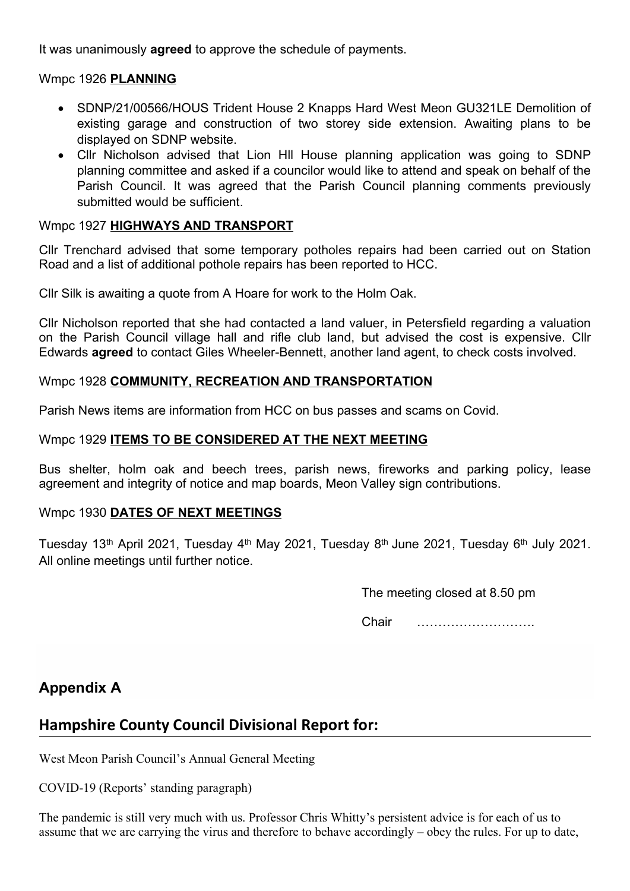It was unanimously **agreed** to approve the schedule of payments.

### Wmpc 1926 PLANNING

- SDNP/21/00566/HOUS Trident House 2 Knapps Hard West Meon GU321LE Demolition of existing garage and construction of two storey side extension. Awaiting plans to be displayed on SDNP website.
- Cllr Nicholson advised that Lion Hll House planning application was going to SDNP planning committee and asked if a councilor would like to attend and speak on behalf of the Parish Council. It was agreed that the Parish Council planning comments previously submitted would be sufficient.

### Wmpc 1927 HIGHWAYS AND TRANSPORT

Cllr Trenchard advised that some temporary potholes repairs had been carried out on Station Road and a list of additional pothole repairs has been reported to HCC.

Cllr Silk is awaiting a quote from A Hoare for work to the Holm Oak.

Cllr Nicholson reported that she had contacted a land valuer, in Petersfield regarding a valuation on the Parish Council village hall and rifle club land, but advised the cost is expensive. Cllr Edwards agreed to contact Giles Wheeler-Bennett, another land agent, to check costs involved.

### Wmpc 1928 COMMUNITY, RECREATION AND TRANSPORTATION

Parish News items are information from HCC on bus passes and scams on Covid.

### Wmpc 1929 ITEMS TO BE CONSIDERED AT THE NEXT MEETING

Bus shelter, holm oak and beech trees, parish news, fireworks and parking policy, lease agreement and integrity of notice and map boards, Meon Valley sign contributions.

### Wmpc 1930 DATES OF NEXT MEETINGS

Tuesday 13<sup>th</sup> April 2021, Tuesday 4<sup>th</sup> May 2021, Tuesday 8<sup>th</sup> June 2021, Tuesday 6<sup>th</sup> July 2021. All online meetings until further notice.

The meeting closed at 8.50 pm

Chair ……………………….

# Appendix A

# Hampshire County Council Divisional Report for:

West Meon Parish Council's Annual General Meeting

COVID-19 (Reports' standing paragraph)

The pandemic is still very much with us. Professor Chris Whitty's persistent advice is for each of us to assume that we are carrying the virus and therefore to behave accordingly – obey the rules. For up to date,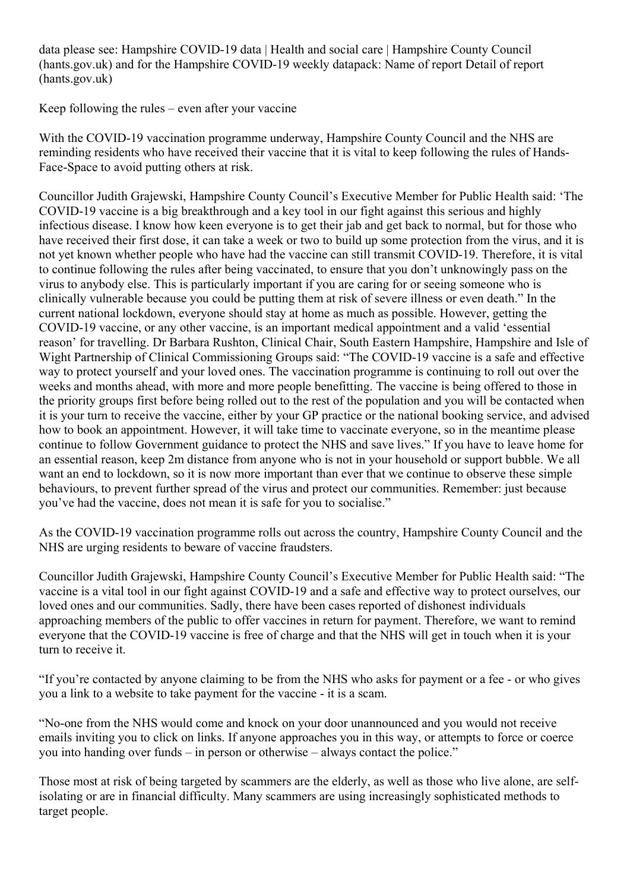data please see: Hampshire COVID-19 data | Health and social care | Hampshire County Council (hants.gov.uk) and for the Hampshire COVID-19 weekly datapack: Name of report Detail of report (hants.gov.uk)

Keep following the rules – even after your vaccine

With the COVID-19 vaccination programme underway, Hampshire County Council and the NHS are reminding residents who have received their vaccine that it is vital to keep following the rules of Hands-Face-Space to avoid putting others at risk.

Councillor Judith Grajewski, Hampshire County Council's Executive Member for Public Health said: 'The COVID-19 vaccine is a big breakthrough and a key tool in our fight against this serious and highly infectious disease. I know how keen everyone is to get their jab and get back to normal, but for those who have received their first dose, it can take a week or two to build up some protection from the virus, and it is not yet known whether people who have had the vaccine can still transmit COVID-19. Therefore, it is vital to continue following the rules after being vaccinated, to ensure that you don't unknowingly pass on the virus to anybody else. This is particularly important if you are caring for or seeing someone who is clinically vulnerable because you could be putting them at risk of severe illness or even death." In the current national lockdown, everyone should stay at home as much as possible. However, getting the COVID-19 vaccine, or any other vaccine, is an important medical appointment and a valid 'essential reason' for travelling. Dr Barbara Rushton, Clinical Chair, South Eastern Hampshire, Hampshire and Isle of Wight Partnership of Clinical Commissioning Groups said: "The COVID-19 vaccine is a safe and effective way to protect yourself and your loved ones. The vaccination programme is continuing to roll out over the weeks and months ahead, with more and more people benefitting. The vaccine is being offered to those in the priority groups first before being rolled out to the rest of the population and you will be contacted when it is your turn to receive the vaccine, either by your GP practice or the national booking service, and advised how to book an appointment. However, it will take time to vaccinate everyone, so in the meantime please continue to follow Government guidance to protect the NHS and save lives." If you have to leave home for an essential reason, keep 2m distance from anyone who is not in your household or support bubble. We all want an end to lockdown, so it is now more important than ever that we continue to observe these simple behaviours, to prevent further spread of the virus and protect our communities. Remember: just because you've had the vaccine, does not mean it is safe for you to socialise."

As the COVID-19 vaccination programme rolls out across the country, Hampshire County Council and the NHS are urging residents to beware of vaccine fraudsters.

Councillor Judith Grajewski, Hampshire County Council's Executive Member for Public Health said: "The vaccine is a vital tool in our fight against COVID-19 and a safe and effective way to protect ourselves, our loved ones and our communities. Sadly, there have been cases reported of dishonest individuals approaching members of the public to offer vaccines in return for payment. Therefore, we want to remind everyone that the COVID-19 vaccine is free of charge and that the NHS will get in touch when it is your turn to receive it.

"If you're contacted by anyone claiming to be from the NHS who asks for payment or a fee - or who gives you a link to a website to take payment for the vaccine - it is a scam.

"No-one from the NHS would come and knock on your door unannounced and you would not receive emails inviting you to click on links. If anyone approaches you in this way, or attempts to force or coerce you into handing over funds – in person or otherwise – always contact the police."

Those most at risk of being targeted by scammers are the elderly, as well as those who live alone, are selfisolating or are in financial difficulty. Many scammers are using increasingly sophisticated methods to target people.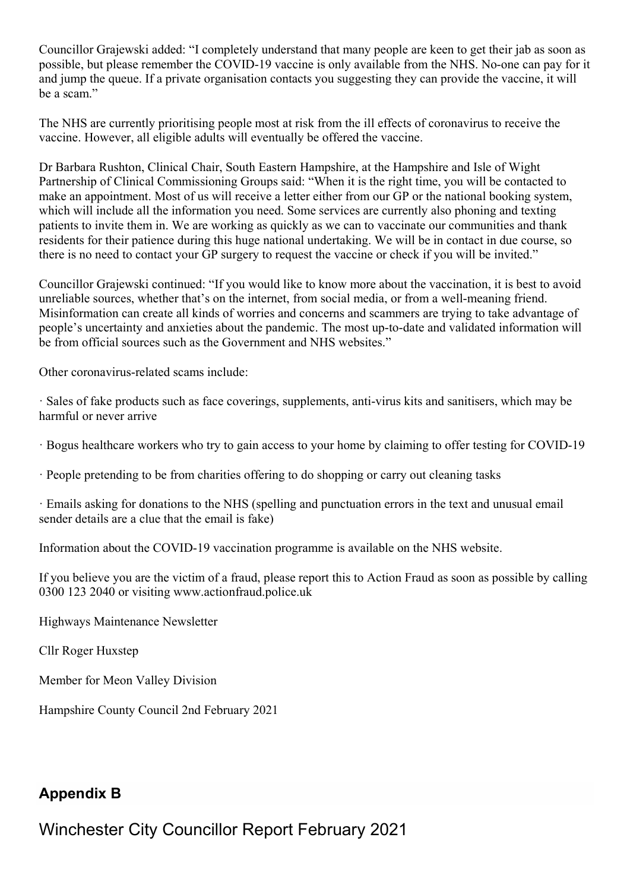Councillor Grajewski added: "I completely understand that many people are keen to get their jab as soon as possible, but please remember the COVID-19 vaccine is only available from the NHS. No-one can pay for it and jump the queue. If a private organisation contacts you suggesting they can provide the vaccine, it will be a scam."

The NHS are currently prioritising people most at risk from the ill effects of coronavirus to receive the vaccine. However, all eligible adults will eventually be offered the vaccine.

Dr Barbara Rushton, Clinical Chair, South Eastern Hampshire, at the Hampshire and Isle of Wight Partnership of Clinical Commissioning Groups said: "When it is the right time, you will be contacted to make an appointment. Most of us will receive a letter either from our GP or the national booking system, which will include all the information you need. Some services are currently also phoning and texting patients to invite them in. We are working as quickly as we can to vaccinate our communities and thank residents for their patience during this huge national undertaking. We will be in contact in due course, so there is no need to contact your GP surgery to request the vaccine or check if you will be invited."

Councillor Grajewski continued: "If you would like to know more about the vaccination, it is best to avoid unreliable sources, whether that's on the internet, from social media, or from a well-meaning friend. Misinformation can create all kinds of worries and concerns and scammers are trying to take advantage of people's uncertainty and anxieties about the pandemic. The most up-to-date and validated information will be from official sources such as the Government and NHS websites."

Other coronavirus-related scams include:

· Sales of fake products such as face coverings, supplements, anti-virus kits and sanitisers, which may be harmful or never arrive

· Bogus healthcare workers who try to gain access to your home by claiming to offer testing for COVID-19

· People pretending to be from charities offering to do shopping or carry out cleaning tasks

· Emails asking for donations to the NHS (spelling and punctuation errors in the text and unusual email sender details are a clue that the email is fake)

Information about the COVID-19 vaccination programme is available on the NHS website.

If you believe you are the victim of a fraud, please report this to Action Fraud as soon as possible by calling 0300 123 2040 or visiting www.actionfraud.police.uk

Highways Maintenance Newsletter

Cllr Roger Huxstep

Member for Meon Valley Division

Hampshire County Council 2nd February 2021

# Appendix B

Winchester City Councillor Report February 2021